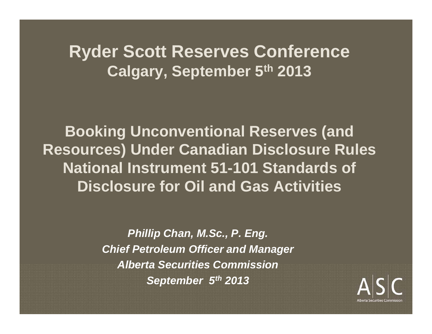#### **Ryder Scott Reserves Conference Calgary, September 5th 2013**

**Booking Unconventional Reserves (and Resources) Under Canadian Disclosure Rules National Instrument 51-101 Standards of Disclosure for Oil and Gas Activities**

> *Phillip Chan, M.Sc., P. Eng. Chief Petroleum Officer and Manager Alberta Securities Commission September 5th 2013*

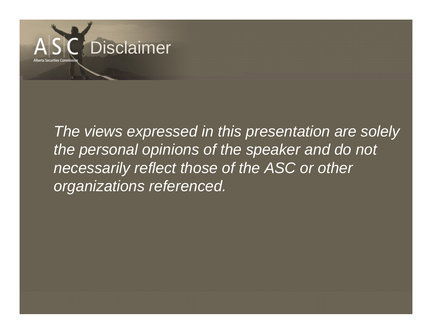

*The views expressed in this presentation are solely the personal opinions of the speaker and do not necessarily reflect those of the ASC or other organizations referenced.*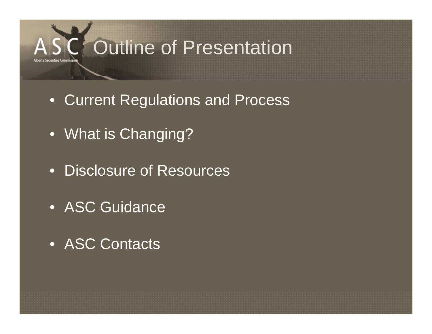

- Current Regulations and Process
- What is Changing?
- Disclosure of Resources
- ASC Guidance
- ASC Contacts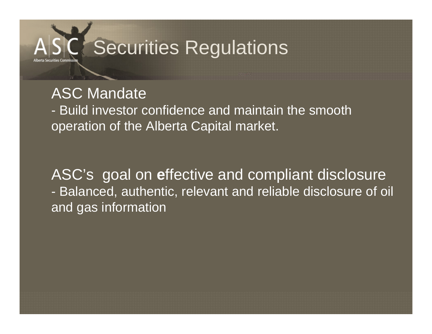# Securities Regulations

#### ASC Mandate

- Build investor confidence and maintain the smooth operation of the Alberta Capital market.

ASC's goal on **<sup>e</sup>**ffective and compliant disclosure - Balanced, authentic, relevant and reliable disclosure of oil and gas information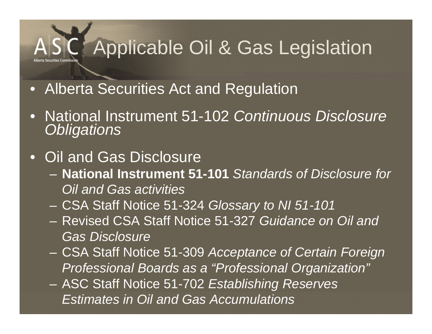## Applicable Oil & Gas Legislation

- Alberta Securities Act and Regulation
- • National Instrument 51-102 *Continuous Disclosure Obligations*
- Oil and Gas Disclosure
	- **National Instrument 51-101** *Standards of Disclosure for Oil and Gas activities*
	- CSA Staff Notice 51-324 *Glossary to NI 51-101*
	- Revised CSA Staff Notice 51-327 *Guidance on Oil and Gas Disclosure*
	- CSA Staff Notice 51-309 *Acceptance of Certain Foreign Professional Boards as a "Professional Organization"*
	- ASC Staff Notice 51-702 *Establishing Reserves Estimates in Oil and Gas Accumulations*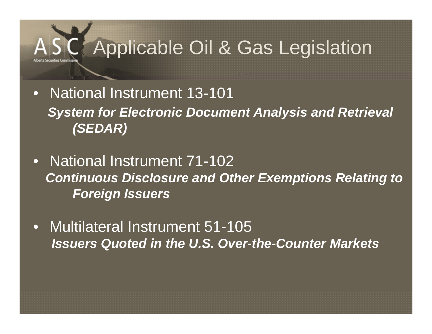## Applicable Oil & Gas Legislation

- • National Instrument 13-101**System for Electronic Document Analysis and Retrieval** *(SEDAR)*
- • National Instrument 71-102*Continuous Disclosure and Other Exemptions Relating to Foreign Issuers*
- • Multilateral Instrument 51-105 *Issuers Quoted in the U.S. Over-the-Counter Markets*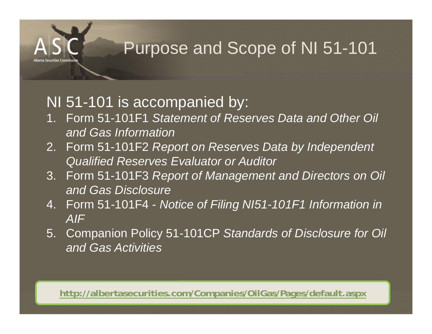#### Purpose and Scope of NI 51-101

#### NI 51-101 is accompanied by:

- 1. Form 51-101F1 *Statement of Reserves Data and Other Oil and Gas Information*
- 2. Form 51-101F2 *Report on Reserves Data by Independent Qualified Reserves Evaluator or Auditor*
- 3. Form 51-101F3 *Report of Management and Directors on Oil and Gas Disclosure*
- 4. Form 51-101F4 *Notice of Filing NI51-101F1 Information in AIF*
- 5. Companion Policy 51-101CP *Standards of Disclosure for Oil and Gas Activities*

**http://albertasecurities.com/Companies/OilGas/Pages/default.aspx**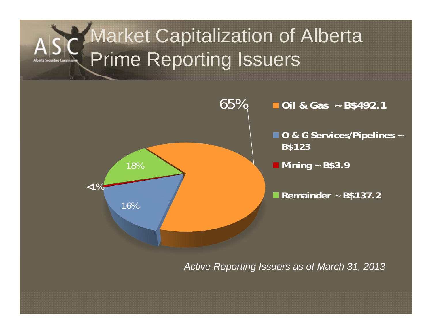## Market Capitalization of Alberta Prime Reporting Issuers



*Active Reporting Issuers as of March 31, 2013*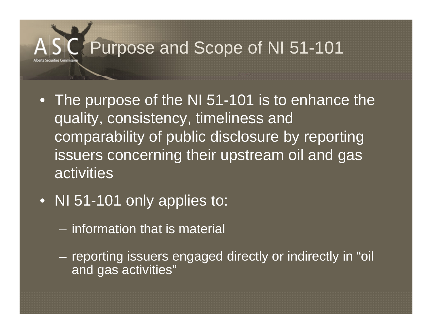## Purpose and Scope of NI 51-101

- The purpose of the NI 51-101 is to enhance the quality, consistency, timeliness and comparability of public disclosure by reporting issuers concerning their upstream oil and gas **activities**
- NI 51-101 only applies to:
	- information that is material
	- reporting issuers engaged directly or indirectly in "oil and gas activities"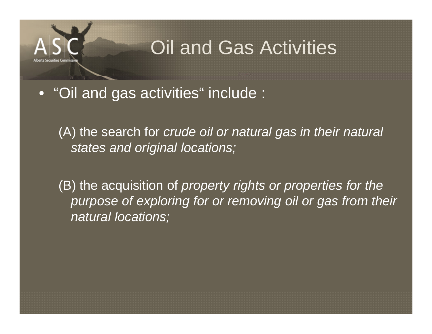## Oil and Gas Activities

• "Oil and gas activities" include :

(A) the search for *crude oil or natural gas in their natural states and original locations;* 

(B) the acquisition of *property rights or properties for the purpose of exploring for or removing oil or gas from their natural locations;*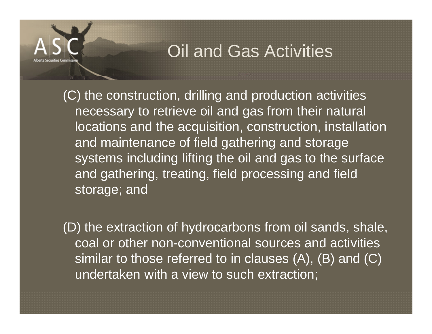#### Oil and Gas Activities

(C) the construction, drilling and production activities necessary to retrieve oil and gas from their natural locations and the acquisition, construction, installation and maintenance of field gathering and storage systems including lifting the oil and gas to the surface and gathering, treating, field processing and field storage; and

(D) the extraction of hydrocarbons from oil sands, shale, coal or other non-conventional sources and activities similar to those referred to in clauses (A), (B) and (C) undertaken with a view to such extraction;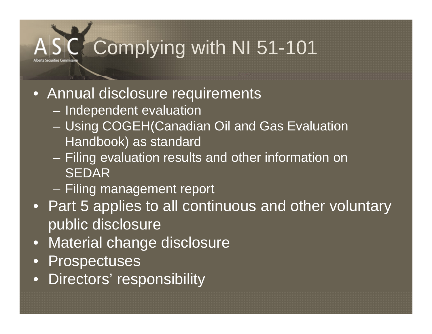## Complying with NI 51-101

- Annual disclosure requirements
	- Independent evaluation
	- Using COGEH(Canadian Oil and Gas Evaluation Handbook) as standard
	- Filing evaluation results and other information on SEDAR
	- Filing management report
- Part 5 applies to all continuous and other voluntary public disclosure
- •Material change disclosure
- •Prospectuses
- $\bullet$ Directors' responsibility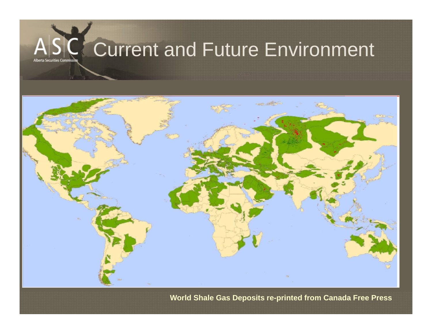

**World Shale Gas Deposits re-printed from Canada Free Press**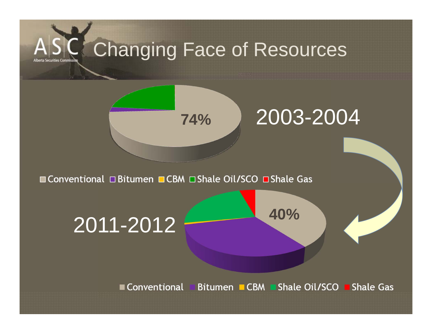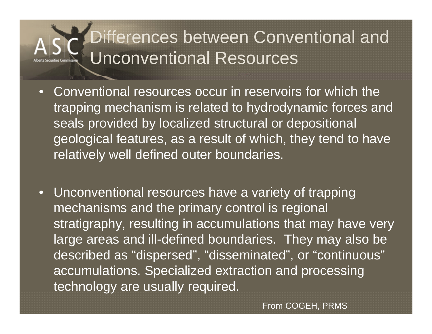## Differences between Conventional and Unconventional Resources

- Conventional resources occur in reservoirs for which the trapping mechanism is related to hydrodynamic forces and seals provided by localized structural or depositional geological features, as a result of which, they tend to have relatively well defined outer boundaries.
- Unconventional resources have a variety of trapping mechanisms and the primary control is regional stratigraphy, resulting in accumulations that may have very large areas and ill-defined boundaries. They may also be described as "dispersed", "disseminated", or "continuous" accumulations. Specialized extraction and processing technology are usually required.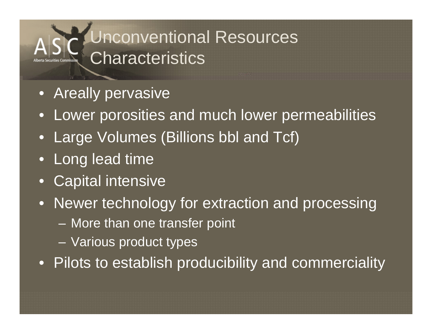## Unconventional Resources **Characteristics**

- Areally pervasive
- Lower porosities and much lower permeabilities
- Large Volumes (Billions bbl and Tcf)
- Long lead time
- Capital intensive
- Newer technology for extraction and processing
	- –More than one transfer point
	- –Various product types
- Pilots to establish producibility and commerciality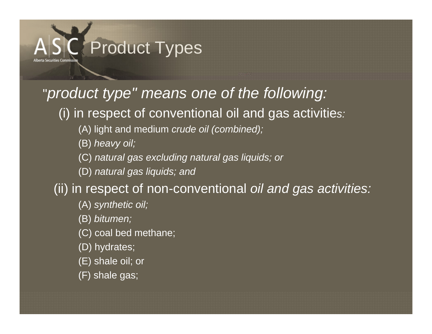

#### "*product type" means one of the following:*

(i) in respect of conventional oil and gas activitie*s:* 

(A) light and medium *crude oil (combined);* 

(B) *heavy oil;* 

(C) *natural gas excluding natural gas liquids; or* 

(D) *natural gas liquids; and* 

(ii) in respect of non-conventional *oil and gas activities:* 

(A) *synthetic oil;* 

(B) *bitumen;* 

(C) coal bed methane;

(D) hydrates;

(E) shale oil; or

(F) shale gas;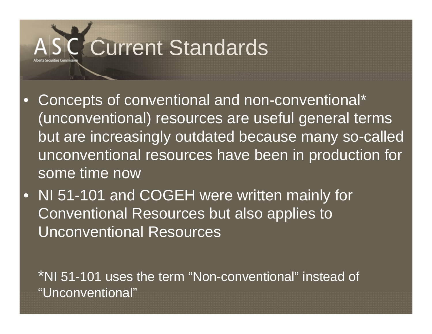## Current Standards

- $\bullet$  Concepts of conventional and non-conventional\* (unconventional) resources are useful general terms but are increasingly outdated because many so-called unconventional resources have been in production for some time now
- $\bullet$  NI 51-101 and COGEH were written mainly for Conventional Resources but also applies to Unconventional Resources

\*NI 51-101 uses the term "Non-conventional" instead of "Unconventional"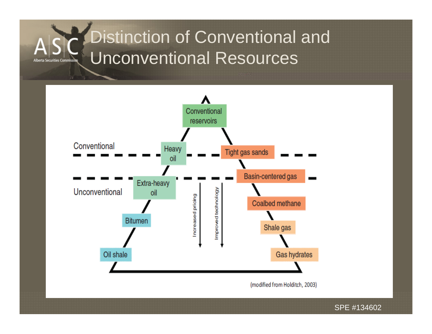## Distinction of Conventional and Unconventional Resources



(modified from Holditch, 2003)

SPE #134602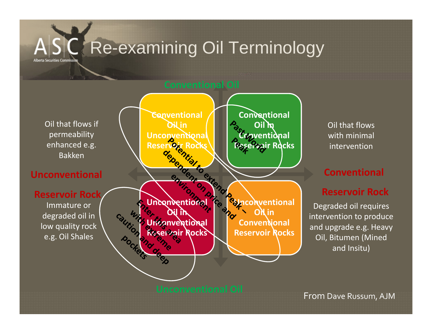### Re-examining Oil Terminology



with minimal intervention

#### **Conventional**

#### **Reservoir Rock**

Degraded oil requires intervention to produce and upgrade e.g. Heavy Oil, Bitumen (Mined and Insitu)

From Dave Russum, AJM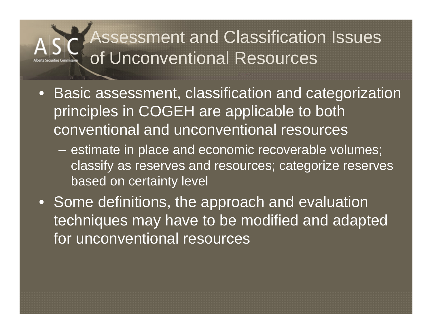### Assessment and Classification Issues of Unconventional Resources

- Basic assessment, classification and categorization principles in COGEH are applicable to both conventional and unconventional resources
	- – estimate in place and economic recoverable volumes; classify as reserves and resources; categorize reserves based on certainty level
- Some definitions, the approach and evaluation techniques may have to be modified and adapted for unconventional resources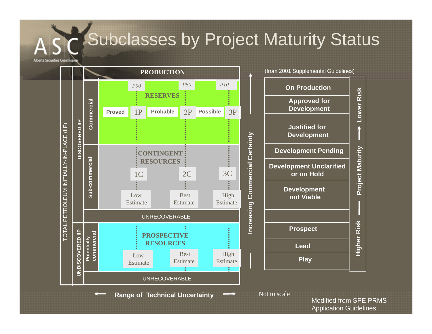### Subclasses by Project Maturity Status



**Range of Technical Uncertainty**



(from 2001 Supplemental Guidelines)

Not to scale

Modified from SPE PRMS Application Guidelines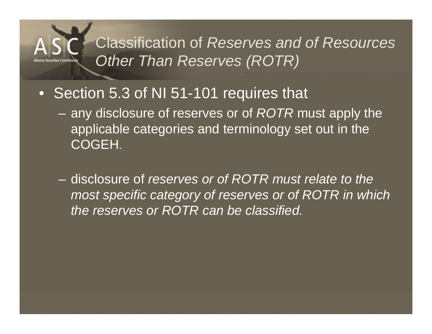#### Classification of *Reserves and of Resources Other Than Reserves (ROTR)*

- Section 5.3 of NI 51-101 requires that
	- any disclosure of reserves or of *ROTR* must apply the applicable categories and terminology set out in the COGEH.
	- disclosure of *reserves or of ROTR must relate to the most specific category of reserves or of ROTR in which the reserves or ROTR can be classified.*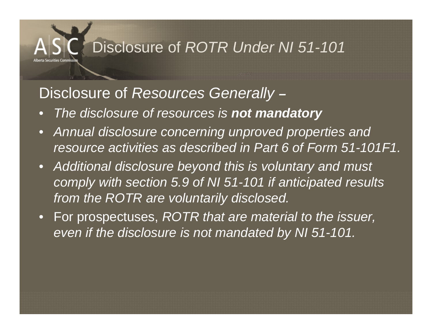#### Disclosure of *ROTR Under NI 51-101*

#### Disclosure of *Resources Generally –*

- $\bullet$ *The disclosure of resources is not mandatory*
- *Annual disclosure concerning unproved properties and resource activities as described in Part 6 of Form 51-101F1.*
- *Additional disclosure beyond this is voluntary and must comply with section 5.9 of NI 51-101 if anticipated results from the ROTR are voluntarily disclosed.*
- For prospectuses, *ROTR that are material to the issuer, even if the disclosure is not mandated by NI 51-101.*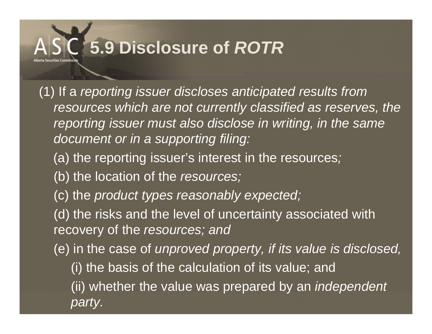(1) If a *reporting issuer discloses anticipated results from resources which are not currently classified as reserves, the reporting issuer must also disclose in writing, in the same document or in a supporting filing:* 

- (a) the reporting issuer's interest in the resources*;*
- (b) the location of the *resources;*
- (c) the *product types reasonably expected;*

(d) the risks and the level of uncertainty associated with recovery of the *resources; and* 

- (e) in the case of *unproved property, if its value is disclosed,* 
	- (i) the basis of the calculation of its value; and
	- (ii) whether the value was prepared by an *independent party.*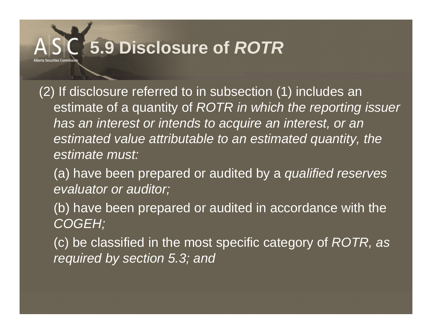(2) If disclosure referred to in subsection (1) includes an estimate of a quantity of *ROTR in which the reporting issuer has an interest or intends to acquire an interest, or an estimated value attributable to an estimated quantity, the estimate must:* 

(a) have been prepared or audited by a *qualified reserves evaluator or auditor;* 

(b) have been prepared or audited in accordance with the *COGEH;* 

(c) be classified in the most specific category of *ROTR, as required by section 5.3; and*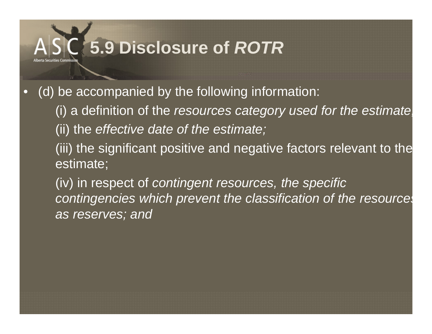•(d) be accompanied by the following information:

> (i) a definition of the *resources category used for the estimate;* (ii) the *effective date of the estimate;*

> (iii) the significant positive and negative factors relevant to the estimate;

> (iv) in respect of *contingent resources, the specific contingencies which prevent the classification of the resources as reserves; and*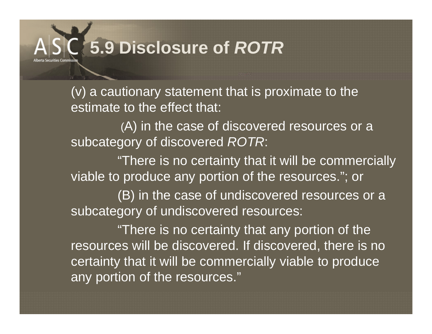(v) a cautionary statement that is proximate to the estimate to the effect that:

(A) in the case of discovered resources or a subcategory of discovered *ROTR*:

"There is no certainty that it will be commercially viable to produce any portion of the resources."; or

(B) in the case of undiscovered resources or a subcategory of undiscovered resources:

"There is no certainty that any portion of the resources will be discovered. If discovered, there is no certainty that it will be commercially viable to produce any portion of the resources."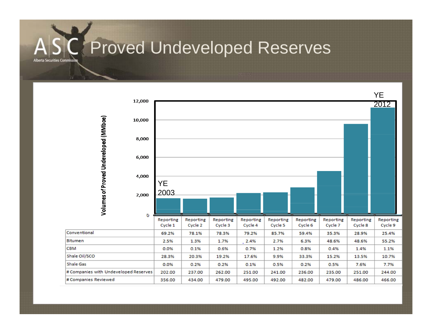## Proved Undeveloped Reserves

rta Securities Cor

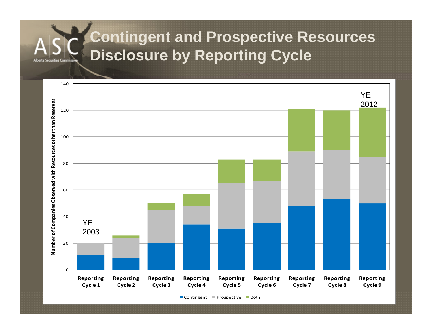### **Contingent and Prospective Resources Disclosure by Reporting Cycle**

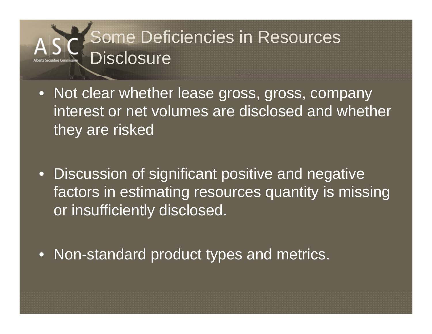## Some Deficiencies in Resources Disclosure

- Not clear whether lease gross, gross, company interest or net volumes are disclosed and whether they are risked
- Discussion of significant positive and negative factors in estimating resources quantity is missing or insufficiently disclosed.
- Non-standard product types and metrics.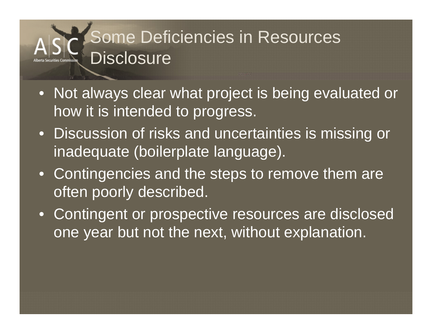## Some Deficiencies in Resources Disclosure

- Not always clear what project is being evaluated or how it is intended to progress.
- Discussion of risks and uncertainties is missing or inadequate (boilerplate language).
- Contingencies and the steps to remove them are often poorly described.
- Contingent or prospective resources are disclosed one year but not the next, without explanation.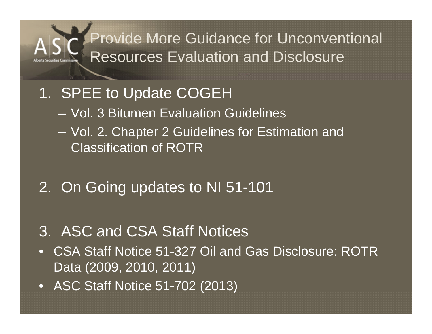#### Provide More Guidance for Unconventional Resources Evaluation and Disclosure

#### 1. SPEE to Update COGEH

- Vol. 3 Bitumen Evaluation Guidelines
- Vol. 2. Chapter 2 Guidelines for Estimation and Classification of ROTR

#### 2. On Going updates to NI 51-101

#### 3. ASC and CSA Staff Notices

- CSA Staff Notice 51-327 Oil and Gas Disclosure: ROTR Data (2009, 2010, 2011)
- ASC Staff Notice 51-702 (2013)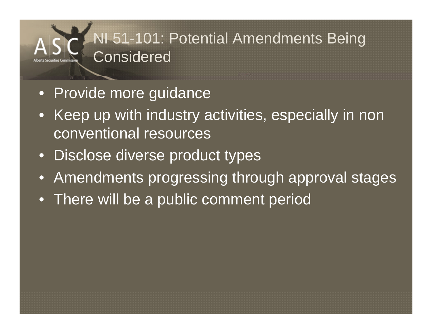### NI 51-101: Potential Amendments Being **Considered**

- Provide more guidance
- Keep up with industry activities, especially in non conventional resources
- Disclose diverse product types
- Amendments progressing through approval stages
- There will be a public comment period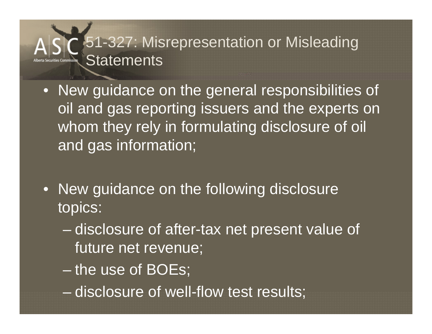#### 51-327: Misrepresentation or Misleading **Statements**

- New guidance on the general responsibilities of oil and gas reporting issuers and the experts on whom they rely in formulating disclosure of oil and gas information;
- New guidance on the following disclosure topics:
	- disclosure of after-tax net present value of future net revenue;
	- the use of BOEs;
	- disclosure of well-flow test results;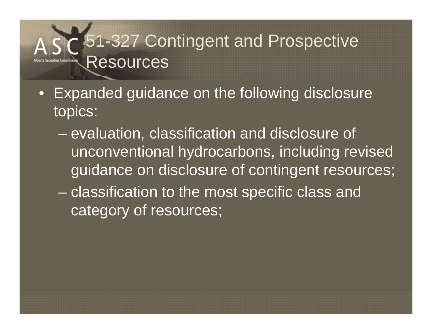## 1-327 Contingent and Prospective Resources

- $\bullet$  Expanded guidance on the following disclosure topics:
	- en al control de la control de la control de la control de la control de la control de la control de la control de la control de la control de la control de la control de la control de la control de la control de la contro evaluation, classification and disclosure of unconventional hydrocarbons, including revised guidance on disclosure of contingent resources;
	- classification to the most specific class and category of resources;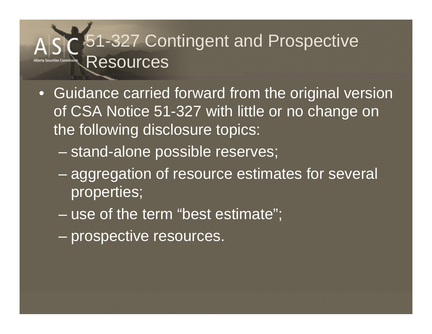## 1-327 Contingent and Prospective Resources

- Guidance carried forward from the original version of CSA Notice 51-327 with little or no change on the following disclosure topics:
	- –stand-alone possible reserves;
	- aggregation of resource estimates for several properties;
	- –use of the term "best estimate";
	- en al control de la control de la control de la control de la control de la control de la control de la control de la control de la control de la control de la control de la control de la control de la control de la contro prospective resources.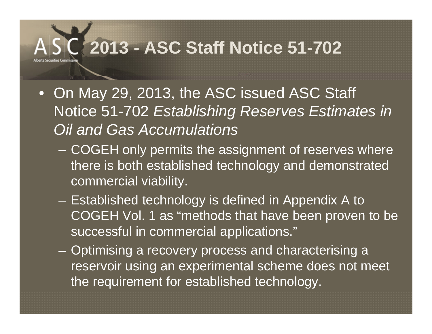## **2013 - ASC Staff Notice 51-702**

- On May 29, 2013, the ASC issued ASC Staff Notice 51-702 *Establishing Reserves Estimates in Oil and Gas Accumulations*
	- – COGEH only permits the assignment of reserves where there is both established technology and demonstrated commercial viability.
	- Established technology is defined in Appendix A to COGEH Vol. 1 as "methods that have been proven to be successful in commercial applications."
	- Optimising a recovery process and characterising a reservoir using an experimental scheme does not meet the requirement for established technology.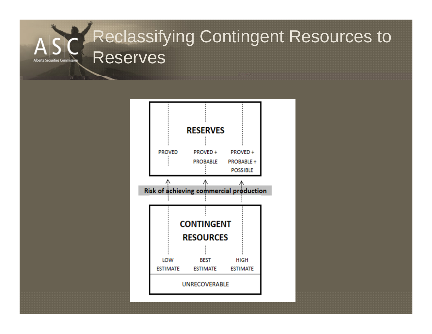### Reclassifying Contingent Resources to Reserves

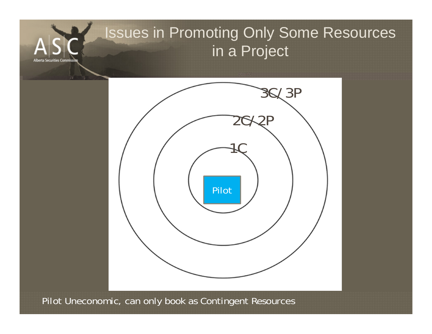

Pilot Uneconomic, can only book as Contingent Resources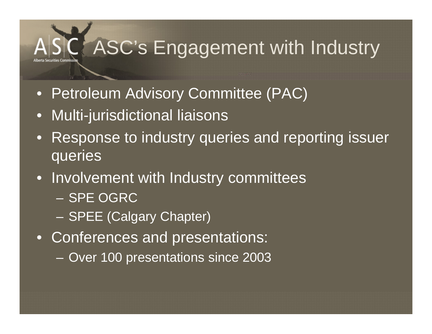## ASC's Engagement with Industry

- $\bullet$ Petroleum Advisory Committee (PAC)
- •Multi-jurisdictional liaisons
- • Response to industry queries and reporting issuer queries
- Involvement with Industry committees – SPE OGRC
	- SPEE (Calgary Chapter)
- Conferences and presentations:
	- –Over 100 presentations since 2003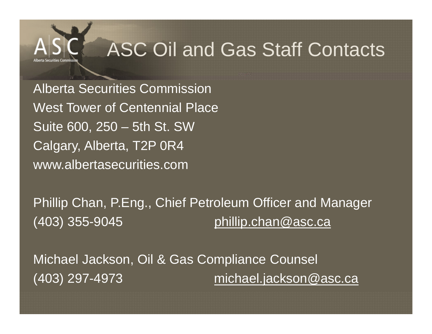

## ASC Oil and Gas Staff Contacts

Alberta Securities Commission West Tower of Centennial PlaceSuite 600, 250 – 5th St. SW Calgary, Alberta, T2P 0R4 www.albertasecurities.com

Phillip Chan, P.Eng., Chief Petroleum Officer and Manager  $(403)$  355-9045 phillip.chan@asc.ca

Michael Jackson, Oil & Gas Compliance Counsel (403) 297-4973 michael.jackson@asc.ca